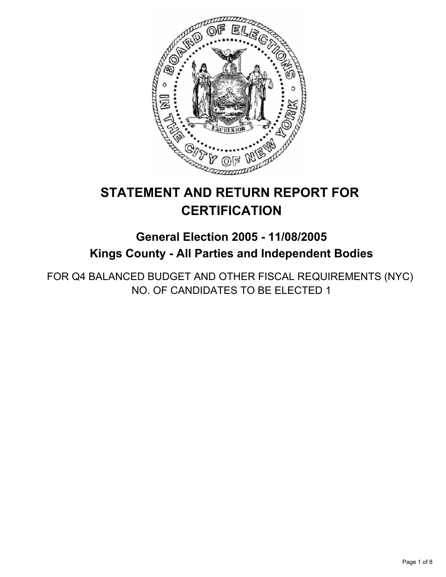

# **STATEMENT AND RETURN REPORT FOR CERTIFICATION**

# **General Election 2005 - 11/08/2005 Kings County - All Parties and Independent Bodies**

FOR Q4 BALANCED BUDGET AND OTHER FISCAL REQUIREMENTS (NYC) NO. OF CANDIDATES TO BE ELECTED 1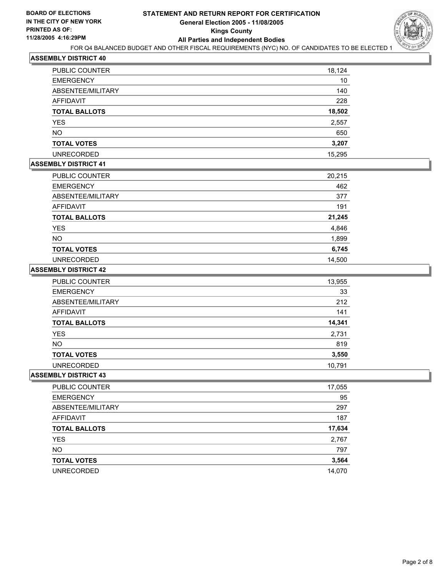

| PUBLIC COUNTER       | 18,124 |
|----------------------|--------|
| <b>EMERGENCY</b>     | 10     |
| ABSENTEE/MILITARY    | 140    |
| <b>AFFIDAVIT</b>     | 228    |
| <b>TOTAL BALLOTS</b> | 18,502 |
| <b>YES</b>           | 2,557  |
| <b>NO</b>            | 650    |
| <b>TOTAL VOTES</b>   | 3,207  |
| <b>UNRECORDED</b>    | 15,295 |

## **ASSEMBLY DISTRICT 41**

| PUBLIC COUNTER       | 20,215 |
|----------------------|--------|
| <b>EMERGENCY</b>     | 462    |
| ABSENTEE/MILITARY    | 377    |
| <b>AFFIDAVIT</b>     | 191    |
| <b>TOTAL BALLOTS</b> | 21,245 |
| YES                  | 4,846  |
| <b>NO</b>            | 1,899  |
| <b>TOTAL VOTES</b>   | 6,745  |
| <b>UNRECORDED</b>    | 14,500 |

#### **ASSEMBLY DISTRICT 42**

| PUBLIC COUNTER       | 13,955 |
|----------------------|--------|
| <b>EMERGENCY</b>     | 33     |
| ABSENTEE/MILITARY    | 212    |
| AFFIDAVIT            | 141    |
| <b>TOTAL BALLOTS</b> | 14,341 |
| <b>YES</b>           | 2,731  |
| <b>NO</b>            | 819    |
| <b>TOTAL VOTES</b>   | 3,550  |
| <b>UNRECORDED</b>    | 10,791 |

| PUBLIC COUNTER       | 17,055 |
|----------------------|--------|
| <b>EMERGENCY</b>     | 95     |
| ABSENTEE/MILITARY    | 297    |
| AFFIDAVIT            | 187    |
| <b>TOTAL BALLOTS</b> | 17,634 |
| <b>YES</b>           | 2,767  |
| <b>NO</b>            | 797    |
| <b>TOTAL VOTES</b>   | 3,564  |
| <b>UNRECORDED</b>    | 14,070 |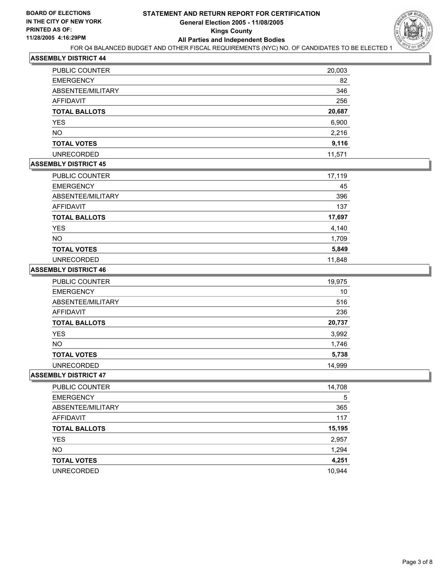

| PUBLIC COUNTER       | 20,003 |
|----------------------|--------|
| <b>EMERGENCY</b>     | 82     |
| ABSENTEE/MILITARY    | 346    |
| <b>AFFIDAVIT</b>     | 256    |
| <b>TOTAL BALLOTS</b> | 20,687 |
| <b>YES</b>           | 6,900  |
| <b>NO</b>            | 2,216  |
| <b>TOTAL VOTES</b>   | 9,116  |
| <b>UNRECORDED</b>    | 11,571 |

## **ASSEMBLY DISTRICT 45**

| PUBLIC COUNTER       | 17,119 |
|----------------------|--------|
| <b>EMERGENCY</b>     | 45     |
| ABSENTEE/MILITARY    | 396    |
| AFFIDAVIT            | 137    |
| <b>TOTAL BALLOTS</b> | 17,697 |
| <b>YES</b>           | 4,140  |
| <b>NO</b>            | 1,709  |
| <b>TOTAL VOTES</b>   | 5,849  |
| <b>UNRECORDED</b>    | 11,848 |

#### **ASSEMBLY DISTRICT 46**

| <b>PUBLIC COUNTER</b> | 19,975 |
|-----------------------|--------|
| <b>EMERGENCY</b>      | 10     |
| ABSENTEE/MILITARY     | 516    |
| AFFIDAVIT             | 236    |
| <b>TOTAL BALLOTS</b>  | 20,737 |
| YES                   | 3,992  |
| NO.                   | 1,746  |
| <b>TOTAL VOTES</b>    | 5,738  |
| <b>UNRECORDED</b>     | 14,999 |

| <b>PUBLIC COUNTER</b> | 14,708 |
|-----------------------|--------|
| <b>EMERGENCY</b>      | 5      |
| ABSENTEE/MILITARY     | 365    |
| AFFIDAVIT             | 117    |
| <b>TOTAL BALLOTS</b>  | 15,195 |
| <b>YES</b>            | 2,957  |
| <b>NO</b>             | 1,294  |
| <b>TOTAL VOTES</b>    | 4,251  |
| <b>UNRECORDED</b>     | 10,944 |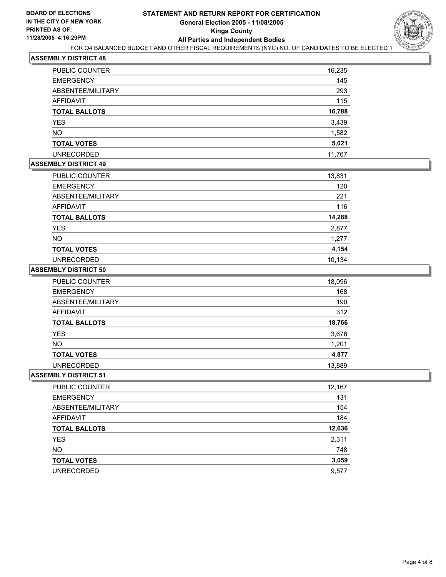

| PUBLIC COUNTER       | 16,235 |
|----------------------|--------|
| <b>EMERGENCY</b>     | 145    |
| ABSENTEE/MILITARY    | 293    |
| <b>AFFIDAVIT</b>     | 115    |
| <b>TOTAL BALLOTS</b> | 16,788 |
| <b>YES</b>           | 3,439  |
| <b>NO</b>            | 1,582  |
| <b>TOTAL VOTES</b>   | 5,021  |
| <b>UNRECORDED</b>    | 11,767 |

## **ASSEMBLY DISTRICT 49**

| <b>PUBLIC COUNTER</b> | 13,831 |
|-----------------------|--------|
| <b>EMERGENCY</b>      | 120    |
| ABSENTEE/MILITARY     | 221    |
| AFFIDAVIT             | 116    |
| <b>TOTAL BALLOTS</b>  | 14,288 |
| <b>YES</b>            | 2,877  |
| <b>NO</b>             | 1,277  |
| <b>TOTAL VOTES</b>    | 4,154  |
| <b>UNRECORDED</b>     | 10.134 |

#### **ASSEMBLY DISTRICT 50**

| PUBLIC COUNTER       | 18,096 |
|----------------------|--------|
| <b>EMERGENCY</b>     | 168    |
| ABSENTEE/MILITARY    | 190    |
| AFFIDAVIT            | 312    |
| <b>TOTAL BALLOTS</b> | 18,766 |
| <b>YES</b>           | 3,676  |
| <b>NO</b>            | 1,201  |
| <b>TOTAL VOTES</b>   | 4,877  |
| <b>UNRECORDED</b>    | 13,889 |

| <b>PUBLIC COUNTER</b> | 12,167 |
|-----------------------|--------|
| <b>EMERGENCY</b>      | 131    |
| ABSENTEE/MILITARY     | 154    |
| AFFIDAVIT             | 184    |
| <b>TOTAL BALLOTS</b>  | 12,636 |
| <b>YES</b>            | 2,311  |
| <b>NO</b>             | 748    |
| <b>TOTAL VOTES</b>    | 3,059  |
| <b>UNRECORDED</b>     | 9,577  |
|                       |        |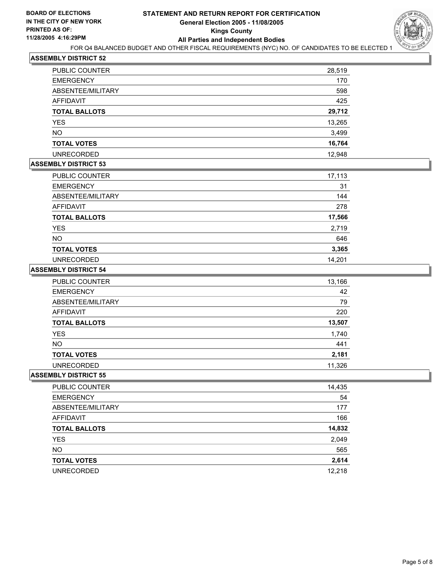

| PUBLIC COUNTER       | 28,519 |
|----------------------|--------|
| <b>EMERGENCY</b>     | 170    |
| ABSENTEE/MILITARY    | 598    |
| AFFIDAVIT            | 425    |
| <b>TOTAL BALLOTS</b> | 29,712 |
| <b>YES</b>           | 13,265 |
| <b>NO</b>            | 3,499  |
| <b>TOTAL VOTES</b>   | 16,764 |
| <b>UNRECORDED</b>    | 12,948 |

## **ASSEMBLY DISTRICT 53**

| <b>PUBLIC COUNTER</b> | 17,113 |
|-----------------------|--------|
| <b>EMERGENCY</b>      | 31     |
| ABSENTEE/MILITARY     | 144    |
| <b>AFFIDAVIT</b>      | 278    |
| <b>TOTAL BALLOTS</b>  | 17,566 |
| YES                   | 2,719  |
| <b>NO</b>             | 646    |
| <b>TOTAL VOTES</b>    | 3,365  |
| <b>UNRECORDED</b>     | 14,201 |

#### **ASSEMBLY DISTRICT 54**

| PUBLIC COUNTER       | 13,166 |
|----------------------|--------|
| <b>EMERGENCY</b>     | 42     |
| ABSENTEE/MILITARY    | 79     |
| AFFIDAVIT            | 220    |
| <b>TOTAL BALLOTS</b> | 13,507 |
| YES                  | 1,740  |
| <b>NO</b>            | 441    |
| <b>TOTAL VOTES</b>   | 2,181  |
| <b>UNRECORDED</b>    | 11,326 |

| PUBLIC COUNTER       | 14,435 |
|----------------------|--------|
| <b>EMERGENCY</b>     | 54     |
| ABSENTEE/MILITARY    | 177    |
| AFFIDAVIT            | 166    |
| <b>TOTAL BALLOTS</b> | 14,832 |
| <b>YES</b>           | 2,049  |
| <b>NO</b>            | 565    |
| <b>TOTAL VOTES</b>   | 2,614  |
| <b>UNRECORDED</b>    | 12,218 |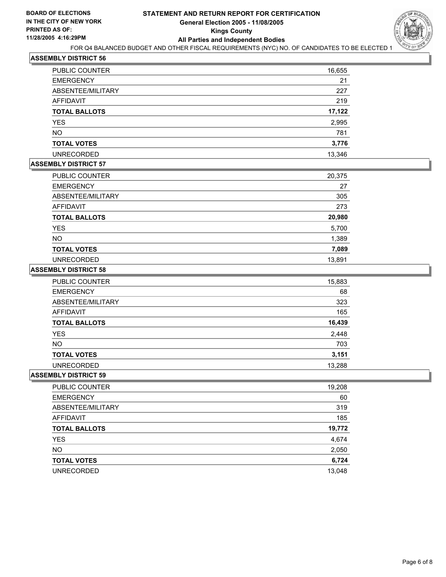

| PUBLIC COUNTER       | 16,655 |
|----------------------|--------|
| <b>EMERGENCY</b>     | 21     |
| ABSENTEE/MILITARY    | 227    |
| <b>AFFIDAVIT</b>     | 219    |
| <b>TOTAL BALLOTS</b> | 17,122 |
| <b>YES</b>           | 2,995  |
| <b>NO</b>            | 781    |
| <b>TOTAL VOTES</b>   | 3,776  |
| <b>UNRECORDED</b>    | 13,346 |

## **ASSEMBLY DISTRICT 57**

| PUBLIC COUNTER       | 20,375 |
|----------------------|--------|
| <b>EMERGENCY</b>     | 27     |
| ABSENTEE/MILITARY    | 305    |
| AFFIDAVIT            | 273    |
| <b>TOTAL BALLOTS</b> | 20,980 |
| <b>YES</b>           | 5,700  |
| <b>NO</b>            | 1,389  |
| <b>TOTAL VOTES</b>   | 7,089  |
| <b>UNRECORDED</b>    | 13,891 |

#### **ASSEMBLY DISTRICT 58**

| PUBLIC COUNTER       | 15,883 |
|----------------------|--------|
| <b>EMERGENCY</b>     | 68     |
| ABSENTEE/MILITARY    | 323    |
| AFFIDAVIT            | 165    |
| <b>TOTAL BALLOTS</b> | 16,439 |
| <b>YES</b>           | 2,448  |
| <b>NO</b>            | 703    |
| <b>TOTAL VOTES</b>   | 3,151  |
| <b>UNRECORDED</b>    | 13,288 |

| PUBLIC COUNTER       | 19,208 |
|----------------------|--------|
| <b>EMERGENCY</b>     | 60     |
| ABSENTEE/MILITARY    | 319    |
| AFFIDAVIT            | 185    |
| <b>TOTAL BALLOTS</b> | 19,772 |
| <b>YES</b>           | 4,674  |
| <b>NO</b>            | 2,050  |
| <b>TOTAL VOTES</b>   | 6,724  |
| <b>UNRECORDED</b>    | 13,048 |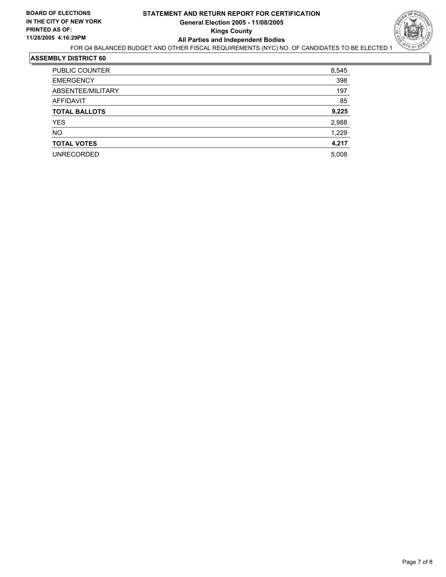## **STATEMENT AND RETURN REPORT FOR CERTIFICATION General Election 2005 - 11/08/2005 Kings County All Parties and Independent Bodies**



FOR Q4 BALANCED BUDGET AND OTHER FISCAL REQUIREMENTS (NYC) NO. OF CANDIDATES TO BE ELECTED 1

| <b>PUBLIC COUNTER</b> | 8,545 |
|-----------------------|-------|
| <b>EMERGENCY</b>      | 398   |
| ABSENTEE/MILITARY     | 197   |
| AFFIDAVIT             | 85    |
| <b>TOTAL BALLOTS</b>  | 9,225 |
| <b>YES</b>            | 2,988 |
| <b>NO</b>             | 1,229 |
| <b>TOTAL VOTES</b>    | 4,217 |
| <b>UNRECORDED</b>     | 5,008 |
|                       |       |